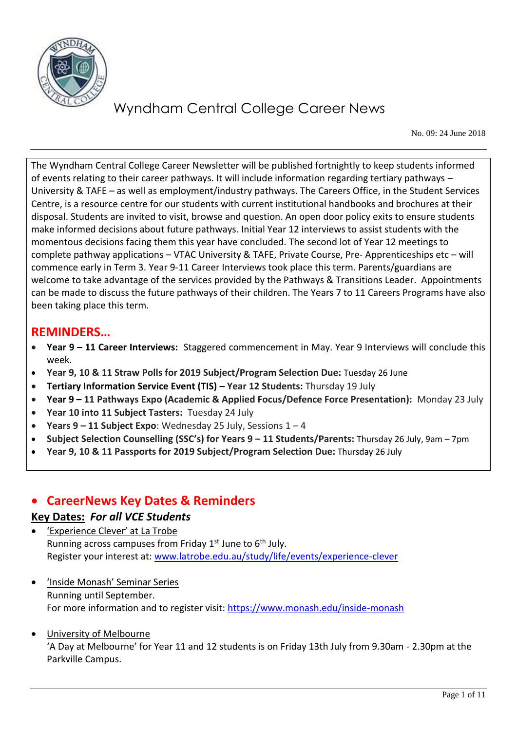

No. 09: 24 June 2018

The Wyndham Central College Career Newsletter will be published fortnightly to keep students informed of events relating to their career pathways. It will include information regarding tertiary pathways – University & TAFE – as well as employment/industry pathways. The Careers Office, in the Student Services Centre, is a resource centre for our students with current institutional handbooks and brochures at their disposal. Students are invited to visit, browse and question. An open door policy exits to ensure students make informed decisions about future pathways. Initial Year 12 interviews to assist students with the momentous decisions facing them this year have concluded. The second lot of Year 12 meetings to complete pathway applications – VTAC University & TAFE, Private Course, Pre- Apprenticeships etc – will commence early in Term 3. Year 9-11 Career Interviews took place this term. Parents/guardians are welcome to take advantage of the services provided by the Pathways & Transitions Leader. Appointments can be made to discuss the future pathways of their children. The Years 7 to 11 Careers Programs have also been taking place this term.

#### **REMINDERS…**

- **Year 9 – 11 Career Interviews:** Staggered commencement in May. Year 9 Interviews will conclude this week.
- **Year 9, 10 & 11 Straw Polls for 2019 Subject/Program Selection Due:** Tuesday 26 June
- **Tertiary Information Service Event (TIS) – Year 12 Students:** Thursday 19 July
- **Year 9 – 11 Pathways Expo (Academic & Applied Focus/Defence Force Presentation):** Monday 23 July
- Year 10 into 11 Subject Tasters: Tuesday 24 July
- **Years 9 – 11 Subject Expo**: Wednesday 25 July, Sessions 1 4
- **Subject Selection Counselling (SSC's) for Years 9 – 11 Students/Parents:** Thursday 26 July, 9am 7pm
- **Year 9, 10 & 11 Passports for 2019 Subject/Program Selection Due:** Thursday 26 July

#### **CareerNews Key Dates & Reminders**

#### **Key Dates:** *For all VCE Students*

- 'Experience Clever' at La Trobe Running across campuses from Friday 1<sup>st</sup> June to 6<sup>th</sup> July. Register your interest at: [www.latrobe.edu.au/study/life/events/experience-clever](http://www.latrobe.edu.au/study/life/events/experience-clever)
- 'Inside Monash' Seminar Series Running until September. For more information and to register visit:<https://www.monash.edu/inside-monash>
- University of Melbourne 'A Day at Melbourne' for Year 11 and 12 students is on Friday 13th July from 9.30am - 2.30pm at the Parkville Campus.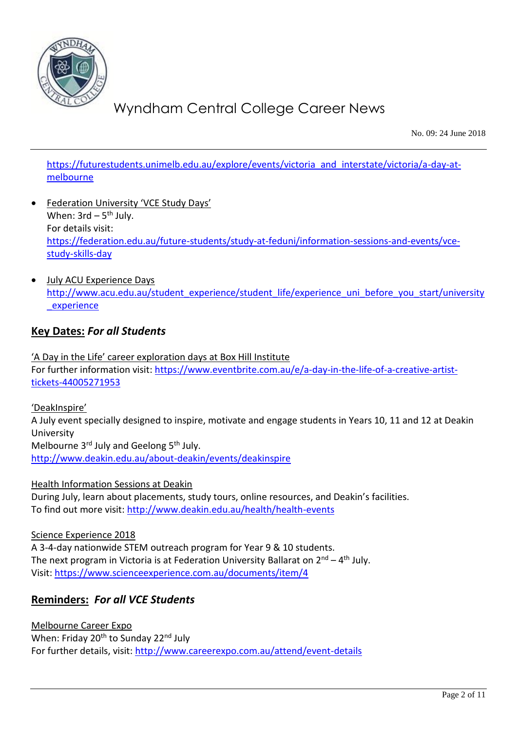

No. 09: 24 June 2018

[https://futurestudents.unimelb.edu.au/explore/events/victoria\\_and\\_interstate/victoria/a-day-at](https://futurestudents.unimelb.edu.au/explore/events/victoria_and_interstate/victoria/a-day-at-melbourne)[melbourne](https://futurestudents.unimelb.edu.au/explore/events/victoria_and_interstate/victoria/a-day-at-melbourne)

- Federation University 'VCE Study Days' When:  $3$ rd –  $5<sup>th</sup>$  July. For details visit: [https://federation.edu.au/future-students/study-at-feduni/information-sessions-and-events/vce](https://federation.edu.au/future-students/study-at-feduni/information-sessions-and-events/vce-study-skills-day)[study-skills-day](https://federation.edu.au/future-students/study-at-feduni/information-sessions-and-events/vce-study-skills-day)
- July ACU Experience Days [http://www.acu.edu.au/student\\_experience/student\\_life/experience\\_uni\\_before\\_you\\_start/university](http://www.acu.edu.au/student_experience/student_life/experience_uni_before_you_start/university_experience) experience

#### **Key Dates:** *For all Students*

'A Day in the Life' career exploration days at Box Hill Institute For further information visit: [https://www.eventbrite.com.au/e/a-day-in-the-life-of-a-creative-artist](https://www.eventbrite.com.au/e/a-day-in-the-life-of-a-creative-artist-tickets-44005271953)[tickets-44005271953](https://www.eventbrite.com.au/e/a-day-in-the-life-of-a-creative-artist-tickets-44005271953)

'DeakInspire'

A July event specially designed to inspire, motivate and engage students in Years 10, 11 and 12 at Deakin University Melbourne 3rd July and Geelong 5th July.

<http://www.deakin.edu.au/about-deakin/events/deakinspire>

Health Information Sessions at Deakin During July, learn about placements, study tours, online resources, and Deakin's facilities. To find out more visit:<http://www.deakin.edu.au/health/health-events>

Science Experience 2018

A 3-4-day nationwide STEM outreach program for Year 9 & 10 students. The next program in Victoria is at Federation University Ballarat on 2<sup>nd</sup> – 4<sup>th</sup> July. Visit:<https://www.scienceexperience.com.au/documents/item/4>

#### **Reminders:** *For all VCE Students*

Melbourne Career Expo When: Friday 20<sup>th</sup> to Sunday 22<sup>nd</sup> July For further details, visit:<http://www.careerexpo.com.au/attend/event-details>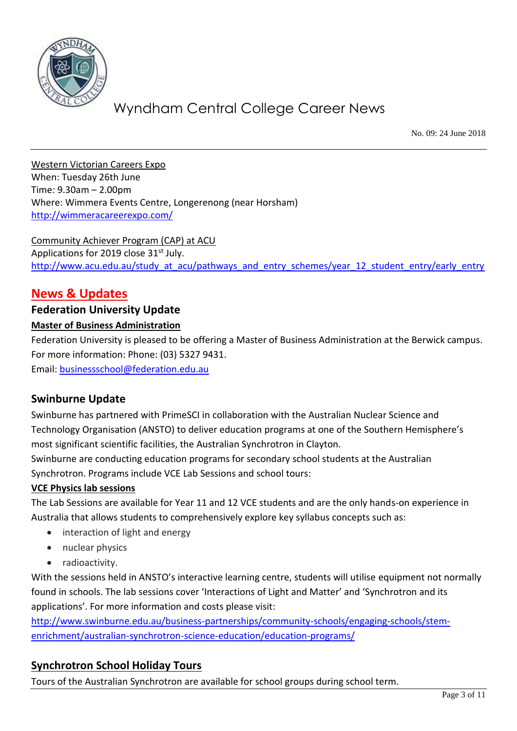

No. 09: 24 June 2018

Western Victorian Careers Expo When: Tuesday 26th June Time: 9.30am – 2.00pm Where: Wimmera Events Centre, Longerenong (near Horsham) <http://wimmeracareerexpo.com/>

Community Achiever Program (CAP) at ACU Applications for 2019 close 31<sup>st</sup> July. [http://www.acu.edu.au/study\\_at\\_acu/pathways\\_and\\_entry\\_schemes/year\\_12\\_student\\_entry/early\\_entry](http://www.acu.edu.au/study_at_acu/pathways_and_entry_schemes/year_12_student_entry/early_entry)

### **News & Updates**

#### **Federation University Update**

#### **Master of Business Administration**

Federation University is pleased to be offering a Master of Business Administration at the Berwick campus. For more information: Phone: (03) 5327 9431.

Email: [businessschool@federation.edu.au](mailto:businessschool@federation.edu.au)

#### **Swinburne Update**

Swinburne has partnered with PrimeSCI in collaboration with the Australian Nuclear Science and Technology Organisation (ANSTO) to deliver education programs at one of the Southern Hemisphere's most significant scientific facilities, the Australian Synchrotron in Clayton.

Swinburne are conducting education programs for secondary school students at the Australian Synchrotron. Programs include VCE Lab Sessions and school tours:

#### **VCE Physics lab sessions**

The Lab Sessions are available for Year 11 and 12 VCE students and are the only hands-on experience in Australia that allows students to comprehensively explore key syllabus concepts such as:

- interaction of light and energy
- nuclear physics
- radioactivity.

With the sessions held in ANSTO's interactive learning centre, students will utilise equipment not normally found in schools. The lab sessions cover 'Interactions of Light and Matter' and 'Synchrotron and its applications'. For more information and costs please visit:

[http://www.swinburne.edu.au/business-partnerships/community-schools/engaging-schools/stem](http://www.swinburne.edu.au/business-partnerships/community-schools/engaging-schools/stem-enrichment/australian-synchrotron-science-education/education-programs/)[enrichment/australian-synchrotron-science-education/education-programs/](http://www.swinburne.edu.au/business-partnerships/community-schools/engaging-schools/stem-enrichment/australian-synchrotron-science-education/education-programs/)

#### **Synchrotron School Holiday Tours**

Tours of the Australian Synchrotron are available for school groups during school term.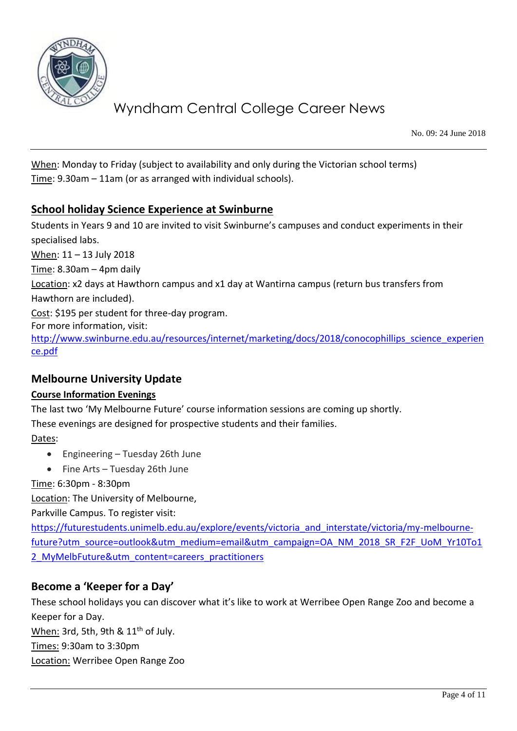

No. 09: 24 June 2018

When: Monday to Friday (subject to availability and only during the Victorian school terms) Time: 9.30am – 11am (or as arranged with individual schools).

#### **School holiday Science Experience at Swinburne**

Students in Years 9 and 10 are invited to visit Swinburne's campuses and conduct experiments in their specialised labs. When: 11 – 13 July 2018  $Time: 8.30$ am – 4pm daily Location: x2 days at Hawthorn campus and x1 day at Wantirna campus (return bus transfers from Hawthorn are included). Cost: \$195 per student for three-day program. For more information, visit: [http://www.swinburne.edu.au/resources/internet/marketing/docs/2018/conocophillips\\_science\\_experien](http://www.swinburne.edu.au/resources/internet/marketing/docs/2018/conocophillips_science_experience.pdf) [ce.pdf](http://www.swinburne.edu.au/resources/internet/marketing/docs/2018/conocophillips_science_experience.pdf)

#### **Melbourne University Update**

#### **Course Information Evenings**

The last two 'My Melbourne Future' course information sessions are coming up shortly.

These evenings are designed for prospective students and their families.

Dates:

- Engineering Tuesday 26th June
- Fine Arts Tuesday 26th June

Time: 6:30pm - 8:30pm

Location: The University of Melbourne,

Parkville Campus. To register visit:

[https://futurestudents.unimelb.edu.au/explore/events/victoria\\_and\\_interstate/victoria/my-melbourne](https://futurestudents.unimelb.edu.au/explore/events/victoria_and_interstate/victoria/my-melbourne-future?utm_source=outlook&utm_medium=email&utm_campaign=OA_NM_2018_SR_F2F_UoM_Yr10To12_MyMelbFuture&utm_content=careers_practitioners)[future?utm\\_source=outlook&utm\\_medium=email&utm\\_campaign=OA\\_NM\\_2018\\_SR\\_F2F\\_UoM\\_Yr10To1](https://futurestudents.unimelb.edu.au/explore/events/victoria_and_interstate/victoria/my-melbourne-future?utm_source=outlook&utm_medium=email&utm_campaign=OA_NM_2018_SR_F2F_UoM_Yr10To12_MyMelbFuture&utm_content=careers_practitioners) 2 MyMelbFuture&utm\_content=careers\_practitioners

#### **Become a 'Keeper for a Day'**

These school holidays you can discover what it's like to work at Werribee Open Range Zoo and become a Keeper for a Day.

When: 3rd, 5th, 9th & 11<sup>th</sup> of July.

Times: 9:30am to 3:30pm

Location: Werribee Open Range Zoo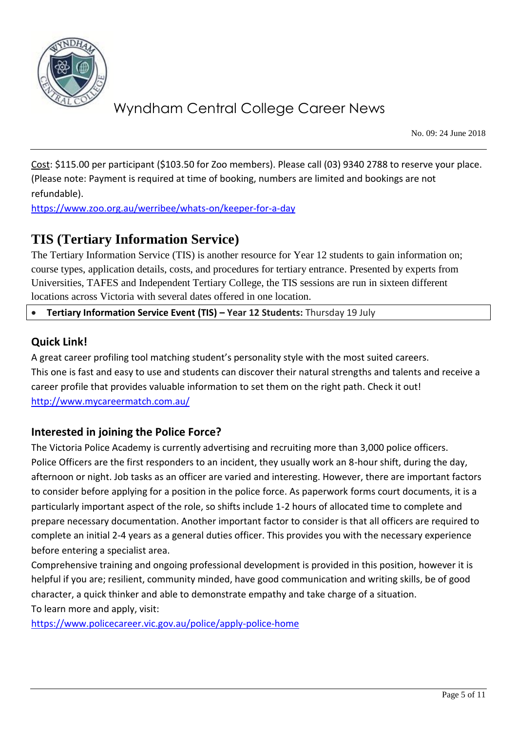

No. 09: 24 June 2018

Cost: \$115.00 per participant (\$103.50 for Zoo members). Please call (03) 9340 2788 to reserve your place. (Please note: Payment is required at time of booking, numbers are limited and bookings are not refundable).

<https://www.zoo.org.au/werribee/whats-on/keeper-for-a-day>

### **TIS (Tertiary Information Service)**

The Tertiary Information Service (TIS) is another resource for Year 12 students to gain information on; course types, application details, costs, and procedures for tertiary entrance. Presented by experts from Universities, TAFES and Independent Tertiary College, the TIS sessions are run in sixteen different locations across Victoria with several dates offered in one location.

**Tertiary Information Service Event (TIS) – Year 12 Students:** Thursday 19 July

#### **Quick Link!**

A great career profiling tool matching student's personality style with the most suited careers. This one is fast and easy to use and students can discover their natural strengths and talents and receive a career profile that provides valuable information to set them on the right path. Check it out! <http://www.mycareermatch.com.au/>

#### **Interested in joining the Police Force?**

The Victoria Police Academy is currently advertising and recruiting more than 3,000 police officers. Police Officers are the first responders to an incident, they usually work an 8-hour shift, during the day, afternoon or night. Job tasks as an officer are varied and interesting. However, there are important factors to consider before applying for a position in the police force. As paperwork forms court documents, it is a particularly important aspect of the role, so shifts include 1-2 hours of allocated time to complete and prepare necessary documentation. Another important factor to consider is that all officers are required to complete an initial 2-4 years as a general duties officer. This provides you with the necessary experience before entering a specialist area.

Comprehensive training and ongoing professional development is provided in this position, however it is helpful if you are; resilient, community minded, have good communication and writing skills, be of good character, a quick thinker and able to demonstrate empathy and take charge of a situation. To learn more and apply, visit:

<https://www.policecareer.vic.gov.au/police/apply-police-home>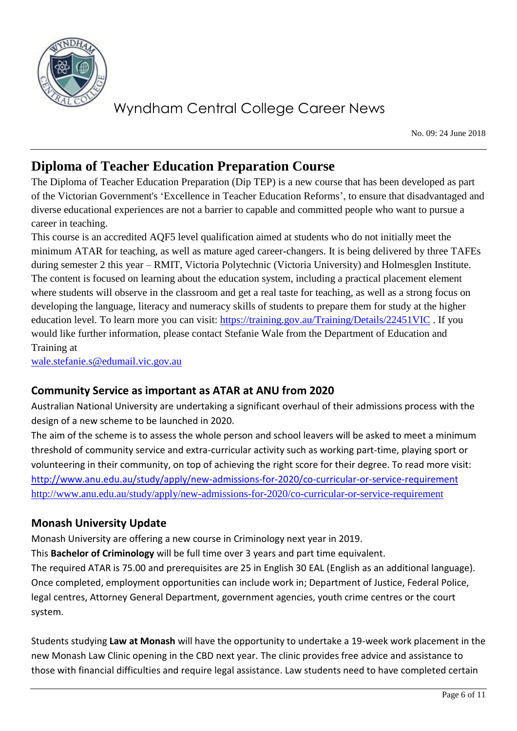

No. 09: 24 June 2018

### **Diploma of Teacher Education Preparation Course**

The Diploma of Teacher Education Preparation (Dip TEP) is a new course that has been developed as part of the Victorian Government's 'Excellence in Teacher Education Reforms', to ensure that disadvantaged and diverse educational experiences are not a barrier to capable and committed people who want to pursue a career in teaching.

This course is an accredited AQF5 level qualification aimed at students who do not initially meet the minimum ATAR for teaching, as well as mature aged career-changers. It is being delivered by three TAFEs during semester 2 this year – RMIT, Victoria Polytechnic (Victoria University) and Holmesglen Institute. The content is focused on learning about the education system, including a practical placement element where students will observe in the classroom and get a real taste for teaching, as well as a strong focus on developing the language, literacy and numeracy skills of students to prepare them for study at the higher education level. To learn more you can visit:<https://training.gov.au/Training/Details/22451VIC> . If you would like further information, please contact Stefanie Wale from the Department of Education and Training at

[wale.stefanie.s@edumail.vic.gov.au](mailto:wale.stefanie.s@edumail.vic.gov.au)

#### **Community Service as important as ATAR at ANU from 2020**

Australian National University are undertaking a significant overhaul of their admissions process with the design of a new scheme to be launched in 2020.

The aim of the scheme is to assess the whole person and school leavers will be asked to meet a minimum threshold of community service and extra-curricular activity such as working part-time, playing sport or volunteering in their community, on top of achieving the right score for their degree. To read more visit: <http://www.anu.edu.au/study/apply/new-admissions-for-2020/co-curricular-or-service-requirement> <http://www.anu.edu.au/study/apply/new-admissions-for-2020/co-curricular-or-service-requirement>

#### **Monash University Update**

Monash University are offering a new course in Criminology next year in 2019.

This **Bachelor of Criminology** will be full time over 3 years and part time equivalent.

The required ATAR is 75.00 and prerequisites are 25 in English 30 EAL (English as an additional language). Once completed, employment opportunities can include work in; Department of Justice, Federal Police, legal centres, Attorney General Department, government agencies, youth crime centres or the court system.

Students studying **Law at Monash** will have the opportunity to undertake a 19-week work placement in the new Monash Law Clinic opening in the CBD next year. The clinic provides free advice and assistance to those with financial difficulties and require legal assistance. Law students need to have completed certain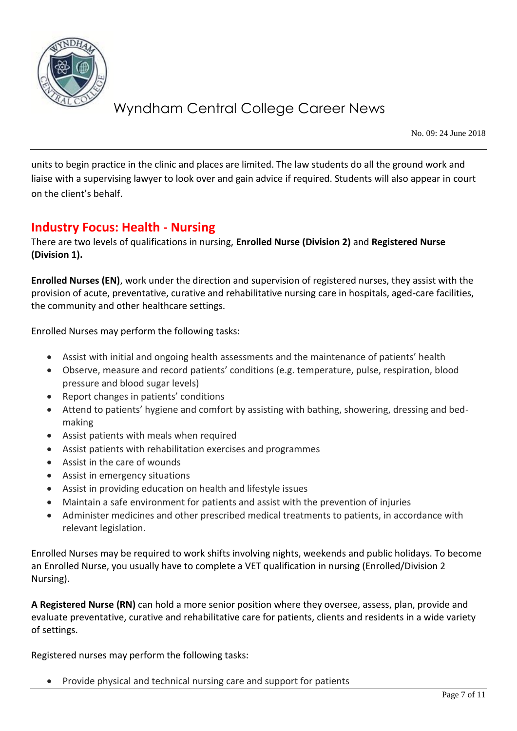

No. 09: 24 June 2018

units to begin practice in the clinic and places are limited. The law students do all the ground work and liaise with a supervising lawyer to look over and gain advice if required. Students will also appear in court on the client's behalf.

### **Industry Focus: Health - Nursing**

There are two levels of qualifications in nursing, **Enrolled Nurse (Division 2)** and **Registered Nurse (Division 1).** 

**Enrolled Nurses (EN)**, work under the direction and supervision of registered nurses, they assist with the provision of acute, preventative, curative and rehabilitative nursing care in hospitals, aged-care facilities, the community and other healthcare settings.

Enrolled Nurses may perform the following tasks:

- Assist with initial and ongoing health assessments and the maintenance of patients' health
- Observe, measure and record patients' conditions (e.g. temperature, pulse, respiration, blood pressure and blood sugar levels)
- Report changes in patients' conditions
- Attend to patients' hygiene and comfort by assisting with bathing, showering, dressing and bedmaking
- Assist patients with meals when required
- Assist patients with rehabilitation exercises and programmes
- Assist in the care of wounds
- Assist in emergency situations
- Assist in providing education on health and lifestyle issues
- Maintain a safe environment for patients and assist with the prevention of injuries
- Administer medicines and other prescribed medical treatments to patients, in accordance with relevant legislation.

Enrolled Nurses may be required to work shifts involving nights, weekends and public holidays. To become an Enrolled Nurse, you usually have to complete a VET qualification in nursing (Enrolled/Division 2 Nursing).

**A Registered Nurse (RN)** can hold a more senior position where they oversee, assess, plan, provide and evaluate preventative, curative and rehabilitative care for patients, clients and residents in a wide variety of settings.

Registered nurses may perform the following tasks:

Provide physical and technical nursing care and support for patients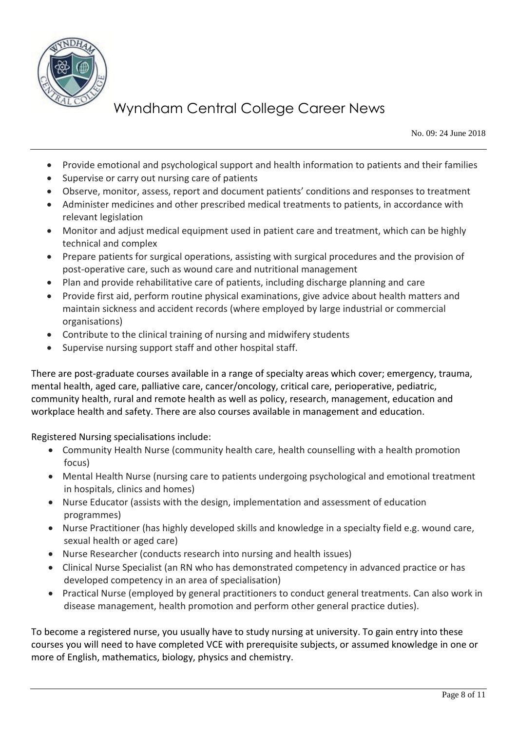

No. 09: 24 June 2018

- Provide emotional and psychological support and health information to patients and their families
- Supervise or carry out nursing care of patients
- Observe, monitor, assess, report and document patients' conditions and responses to treatment
- Administer medicines and other prescribed medical treatments to patients, in accordance with relevant legislation
- Monitor and adjust medical equipment used in patient care and treatment, which can be highly technical and complex
- Prepare patients for surgical operations, assisting with surgical procedures and the provision of post-operative care, such as wound care and nutritional management
- Plan and provide rehabilitative care of patients, including discharge planning and care
- Provide first aid, perform routine physical examinations, give advice about health matters and maintain sickness and accident records (where employed by large industrial or commercial organisations)
- Contribute to the clinical training of nursing and midwifery students
- Supervise nursing support staff and other hospital staff.

There are post-graduate courses available in a range of specialty areas which cover; emergency, trauma, mental health, aged care, palliative care, cancer/oncology, critical care, perioperative, pediatric, community health, rural and remote health as well as policy, research, management, education and workplace health and safety. There are also courses available in management and education.

Registered Nursing specialisations include:

- Community Health Nurse (community health care, health counselling with a health promotion focus)
- Mental Health Nurse (nursing care to patients undergoing psychological and emotional treatment in hospitals, clinics and homes)
- Nurse Educator (assists with the design, implementation and assessment of education programmes)
- Nurse Practitioner (has highly developed skills and knowledge in a specialty field e.g. wound care, sexual health or aged care)
- Nurse Researcher (conducts research into nursing and health issues)
- Clinical Nurse Specialist (an RN who has demonstrated competency in advanced practice or has developed competency in an area of specialisation)
- Practical Nurse (employed by general practitioners to conduct general treatments. Can also work in disease management, health promotion and perform other general practice duties).

To become a registered nurse, you usually have to study nursing at university. To gain entry into these courses you will need to have completed VCE with prerequisite subjects, or assumed knowledge in one or more of English, mathematics, biology, physics and chemistry.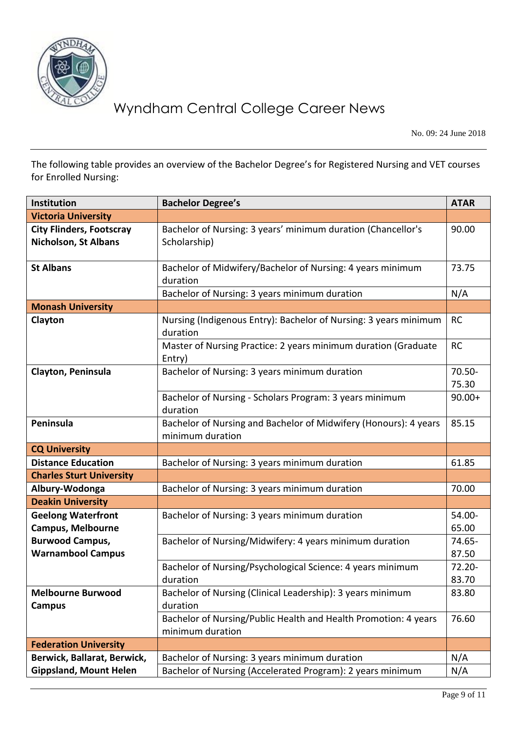

No. 09: 24 June 2018

The following table provides an overview of the Bachelor Degree's for Registered Nursing and VET courses for Enrolled Nursing:

| Institution                     | <b>Bachelor Degree's</b>                                         | <b>ATAR</b> |
|---------------------------------|------------------------------------------------------------------|-------------|
| <b>Victoria University</b>      |                                                                  |             |
| <b>City Flinders, Footscray</b> | Bachelor of Nursing: 3 years' minimum duration (Chancellor's     | 90.00       |
| <b>Nicholson, St Albans</b>     | Scholarship)                                                     |             |
|                                 |                                                                  |             |
| <b>St Albans</b>                | Bachelor of Midwifery/Bachelor of Nursing: 4 years minimum       | 73.75       |
|                                 | duration                                                         |             |
|                                 | Bachelor of Nursing: 3 years minimum duration                    | N/A         |
| <b>Monash University</b>        |                                                                  |             |
| Clayton                         | Nursing (Indigenous Entry): Bachelor of Nursing: 3 years minimum | <b>RC</b>   |
|                                 | duration                                                         |             |
|                                 | Master of Nursing Practice: 2 years minimum duration (Graduate   | <b>RC</b>   |
|                                 | Entry)                                                           |             |
| Clayton, Peninsula              | Bachelor of Nursing: 3 years minimum duration                    | 70.50-      |
|                                 |                                                                  | 75.30       |
|                                 | Bachelor of Nursing - Scholars Program: 3 years minimum          | $90.00+$    |
|                                 | duration                                                         |             |
| Peninsula                       | Bachelor of Nursing and Bachelor of Midwifery (Honours): 4 years | 85.15       |
|                                 | minimum duration                                                 |             |
| <b>CQ University</b>            |                                                                  |             |
| <b>Distance Education</b>       | Bachelor of Nursing: 3 years minimum duration                    | 61.85       |
| <b>Charles Sturt University</b> |                                                                  |             |
| Albury-Wodonga                  | Bachelor of Nursing: 3 years minimum duration                    | 70.00       |
| <b>Deakin University</b>        |                                                                  |             |
| <b>Geelong Waterfront</b>       | Bachelor of Nursing: 3 years minimum duration                    | 54.00-      |
| <b>Campus, Melbourne</b>        |                                                                  | 65.00       |
| <b>Burwood Campus,</b>          | Bachelor of Nursing/Midwifery: 4 years minimum duration          | 74.65-      |
| <b>Warnambool Campus</b>        |                                                                  | 87.50       |
|                                 | Bachelor of Nursing/Psychological Science: 4 years minimum       | $72.20 -$   |
|                                 | duration                                                         | 83.70       |
| <b>Melbourne Burwood</b>        | Bachelor of Nursing (Clinical Leadership): 3 years minimum       | 83.80       |
| <b>Campus</b>                   | duration                                                         |             |
|                                 | Bachelor of Nursing/Public Health and Health Promotion: 4 years  | 76.60       |
|                                 | minimum duration                                                 |             |
| <b>Federation University</b>    |                                                                  |             |
| Berwick, Ballarat, Berwick,     | Bachelor of Nursing: 3 years minimum duration                    | N/A         |
| <b>Gippsland, Mount Helen</b>   | Bachelor of Nursing (Accelerated Program): 2 years minimum       | N/A         |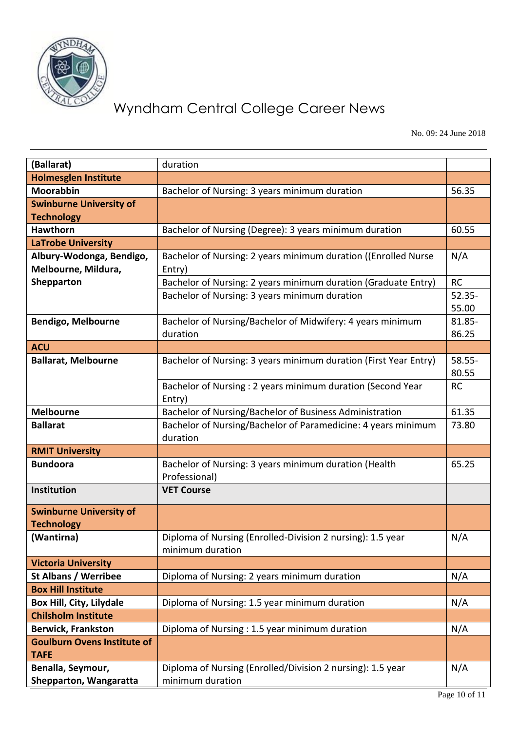

No. 09: 24 June 2018

| (Ballarat)                                      | duration                                                                       |           |
|-------------------------------------------------|--------------------------------------------------------------------------------|-----------|
| <b>Holmesglen Institute</b>                     |                                                                                |           |
| <b>Moorabbin</b>                                |                                                                                | 56.35     |
|                                                 | Bachelor of Nursing: 3 years minimum duration                                  |           |
| <b>Swinburne University of</b>                  |                                                                                |           |
| <b>Technology</b><br><b>Hawthorn</b>            | Bachelor of Nursing (Degree): 3 years minimum duration                         | 60.55     |
| <b>LaTrobe University</b>                       |                                                                                |           |
|                                                 |                                                                                |           |
| Albury-Wodonga, Bendigo,<br>Melbourne, Mildura, | Bachelor of Nursing: 2 years minimum duration ((Enrolled Nurse                 | N/A       |
| Shepparton                                      | Entry)                                                                         | <b>RC</b> |
|                                                 | Bachelor of Nursing: 2 years minimum duration (Graduate Entry)                 | $52.35 -$ |
|                                                 | Bachelor of Nursing: 3 years minimum duration                                  | 55.00     |
| <b>Bendigo, Melbourne</b>                       | Bachelor of Nursing/Bachelor of Midwifery: 4 years minimum                     | 81.85-    |
|                                                 | duration                                                                       | 86.25     |
| <b>ACU</b>                                      |                                                                                |           |
| <b>Ballarat, Melbourne</b>                      | Bachelor of Nursing: 3 years minimum duration (First Year Entry)               | $58.55 -$ |
|                                                 |                                                                                | 80.55     |
|                                                 | Bachelor of Nursing: 2 years minimum duration (Second Year                     | <b>RC</b> |
|                                                 | Entry)                                                                         |           |
| <b>Melbourne</b>                                | Bachelor of Nursing/Bachelor of Business Administration                        | 61.35     |
| <b>Ballarat</b>                                 | Bachelor of Nursing/Bachelor of Paramedicine: 4 years minimum<br>duration      | 73.80     |
| <b>RMIT University</b>                          |                                                                                |           |
| <b>Bundoora</b>                                 | Bachelor of Nursing: 3 years minimum duration (Health                          | 65.25     |
|                                                 | Professional)                                                                  |           |
| Institution                                     | <b>VET Course</b>                                                              |           |
| <b>Swinburne University of</b>                  |                                                                                |           |
| <b>Technology</b>                               |                                                                                |           |
| (Wantirna)                                      | Diploma of Nursing (Enrolled-Division 2 nursing): 1.5 year<br>minimum duration | N/A       |
| <b>Victoria University</b>                      |                                                                                |           |
| <b>St Albans / Werribee</b>                     | Diploma of Nursing: 2 years minimum duration                                   | N/A       |
| <b>Box Hill Institute</b>                       |                                                                                |           |
| Box Hill, City, Lilydale                        | Diploma of Nursing: 1.5 year minimum duration                                  | N/A       |
| <b>Chilsholm Institute</b>                      |                                                                                |           |
| <b>Berwick, Frankston</b>                       | Diploma of Nursing : 1.5 year minimum duration                                 | N/A       |
| <b>Goulburn Ovens Institute of</b>              |                                                                                |           |
| <b>TAFE</b>                                     |                                                                                |           |
| Benalla, Seymour,                               | Diploma of Nursing (Enrolled/Division 2 nursing): 1.5 year                     | N/A       |
| Shepparton, Wangaratta                          | minimum duration                                                               |           |